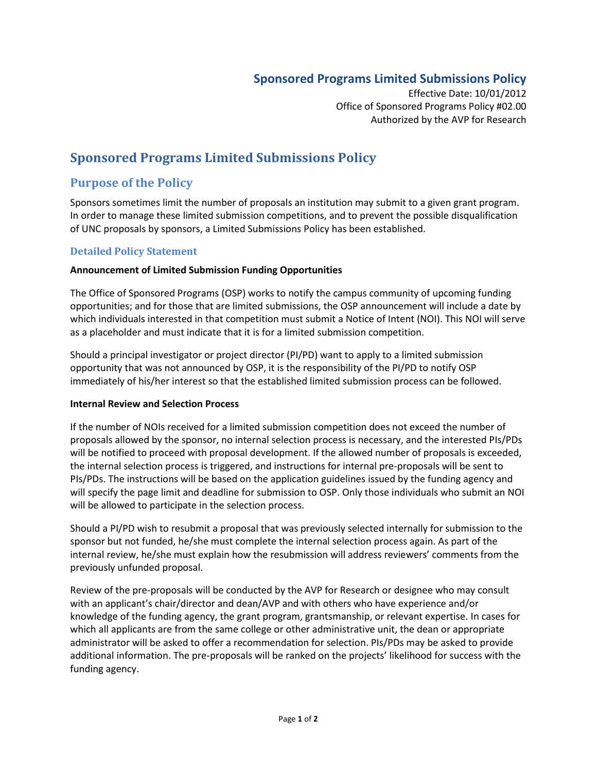## **Sponsored Programs Limited Submissions Policy**

Effective Date: 10/01/2012 Office of Sponsored Programs Policy #02.00 Authorized by the AVP for Research

# **Sponsored Programs Limited Submissions Policy**

### **Purpose of the Policy**

Sponsors sometimes limit the number of proposals an institution may submit to a given grant program. In order to manage these limited submission competitions, and to prevent the possible disqualification of UNC proposals by sponsors, a Limited Submissions Policy has been established.

#### **Detailed Policy Statement**

#### **Announcement of Limited Submission Funding Opportunities**

The Office of Sponsored Programs (OSP) works to notify the campus community of upcoming funding opportunities; and for those that are limited submissions, the OSP announcement will include a date by which individuals interested in that competition must submit a Notice of Intent (NOI). This NOI will serve as a placeholder and must indicate that it is for a limited submission competition.

Should a principal investigator or project director (PI/PD) want to apply to a limited submission opportunity that was not announced by OSP, it is the responsibility of the PI/PD to notify OSP immediately of his/her interest so that the established limited submission process can be followed.

#### **Internal Review and Selection Process**

If the number of NOIs received for a limited submission competition does not exceed the number of proposals allowed by the sponsor, no internal selection process is necessary, and the interested PIs/PDs will be notified to proceed with proposal development. If the allowed number of proposals is exceeded, the internal selection process is triggered, and instructions for internal pre-proposals will be sent to PIs/PDs. The instructions will be based on the application guidelines issued by the funding agency and will specify the page limit and deadline for submission to OSP. Only those individuals who submit an NOI will be allowed to participate in the selection process.

Should a PI/PD wish to resubmit a proposal that was previously selected internally for submission to the sponsor but not funded, he/she must complete the internal selection process again. As part of the internal review, he/she must explain how the resubmission will address reviewers' comments from the previously unfunded proposal.

Review of the pre-proposals will be conducted by the AVP for Research or designee who may consult with an applicant's chair/director and dean/AVP and with others who have experience and/or knowledge of the funding agency, the grant program, grantsmanship, or relevant expertise. In cases for which all applicants are from the same college or other administrative unit, the dean or appropriate administrator will be asked to offer a recommendation for selection. PIs/PDs may be asked to provide additional information. The pre-proposals will be ranked on the projects' likelihood for success with the funding agency.